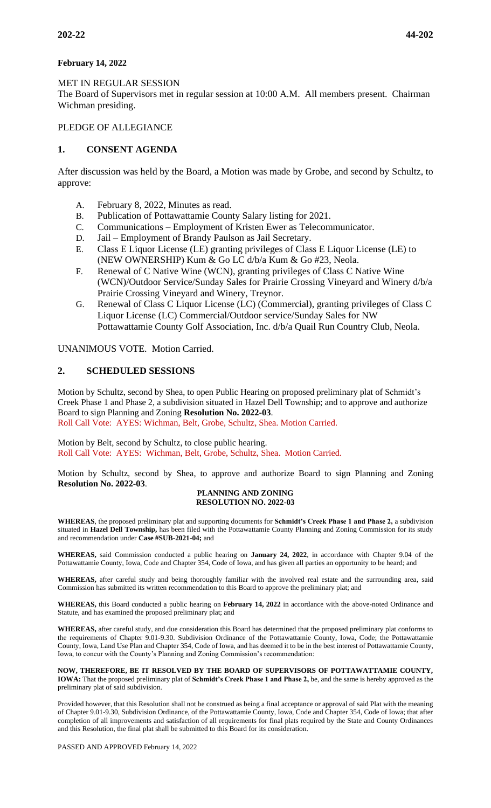## **February 14, 2022**

### MET IN REGULAR SESSION

The Board of Supervisors met in regular session at 10:00 A.M. All members present. Chairman Wichman presiding.

### PLEDGE OF ALLEGIANCE

# **1. CONSENT AGENDA**

After discussion was held by the Board, a Motion was made by Grobe, and second by Schultz, to approve:

- A. February 8, 2022, Minutes as read.
- B. Publication of Pottawattamie County Salary listing for 2021.
- C. Communications Employment of Kristen Ewer as Telecommunicator.
- D. Jail Employment of Brandy Paulson as Jail Secretary.
- E. Class E Liquor License (LE) granting privileges of Class E Liquor License (LE) to (NEW OWNERSHIP) Kum & Go LC d/b/a Kum & Go #23, Neola.
- F. Renewal of C Native Wine (WCN), granting privileges of Class C Native Wine (WCN)/Outdoor Service/Sunday Sales for Prairie Crossing Vineyard and Winery d/b/a Prairie Crossing Vineyard and Winery, Treynor.
- G. Renewal of Class C Liquor License (LC) (Commercial), granting privileges of Class C Liquor License (LC) Commercial/Outdoor service/Sunday Sales for NW Pottawattamie County Golf Association, Inc. d/b/a Quail Run Country Club, Neola.

UNANIMOUS VOTE. Motion Carried.

### **2. SCHEDULED SESSIONS**

Motion by Schultz, second by Shea, to open Public Hearing on proposed preliminary plat of Schmidt's Creek Phase 1 and Phase 2, a subdivision situated in Hazel Dell Township; and to approve and authorize Board to sign Planning and Zoning **Resolution No. 2022-03**. Roll Call Vote: AYES: Wichman, Belt, Grobe, Schultz, Shea. Motion Carried.

Motion by Belt, second by Schultz, to close public hearing. Roll Call Vote: AYES: Wichman, Belt, Grobe, Schultz, Shea. Motion Carried.

Motion by Schultz, second by Shea, to approve and authorize Board to sign Planning and Zoning **Resolution No. 2022-03**.

#### **PLANNING AND ZONING RESOLUTION NO. 2022-03**

**WHEREAS**, the proposed preliminary plat and supporting documents for **Schmidt's Creek Phase 1 and Phase 2,** a subdivision situated in **Hazel Dell Township,** has been filed with the Pottawattamie County Planning and Zoning Commission for its study and recommendation under **Case #SUB-2021-04;** and

**WHEREAS,** said Commission conducted a public hearing on **January 24, 2022**, in accordance with Chapter 9.04 of the Pottawattamie County, Iowa, Code and Chapter 354, Code of Iowa, and has given all parties an opportunity to be heard; and

**WHEREAS,** after careful study and being thoroughly familiar with the involved real estate and the surrounding area, said Commission has submitted its written recommendation to this Board to approve the preliminary plat; and

**WHEREAS,** this Board conducted a public hearing on **February 14, 2022** in accordance with the above-noted Ordinance and Statute, and has examined the proposed preliminary plat; and

**WHEREAS,** after careful study, and due consideration this Board has determined that the proposed preliminary plat conforms to the requirements of Chapter 9.01-9.30. Subdivision Ordinance of the Pottawattamie County, Iowa, Code; the Pottawattamie County, Iowa, Land Use Plan and Chapter 354, Code of Iowa, and has deemed it to be in the best interest of Pottawattamie County, Iowa, to concur with the County's Planning and Zoning Commission's recommendation:

**NOW, THEREFORE, BE IT RESOLVED BY THE BOARD OF SUPERVISORS OF POTTAWATTAMIE COUNTY, IOWA:** That the proposed preliminary plat of **Schmidt's Creek Phase 1 and Phase 2,** be, and the same is hereby approved as the preliminary plat of said subdivision.

Provided however, that this Resolution shall not be construed as being a final acceptance or approval of said Plat with the meaning of Chapter 9.01-9.30, Subdivision Ordinance, of the Pottawattamie County, Iowa, Code and Chapter 354, Code of Iowa; that after completion of all improvements and satisfaction of all requirements for final plats required by the State and County Ordinances and this Resolution, the final plat shall be submitted to this Board for its consideration.

PASSED AND APPROVED February 14, 2022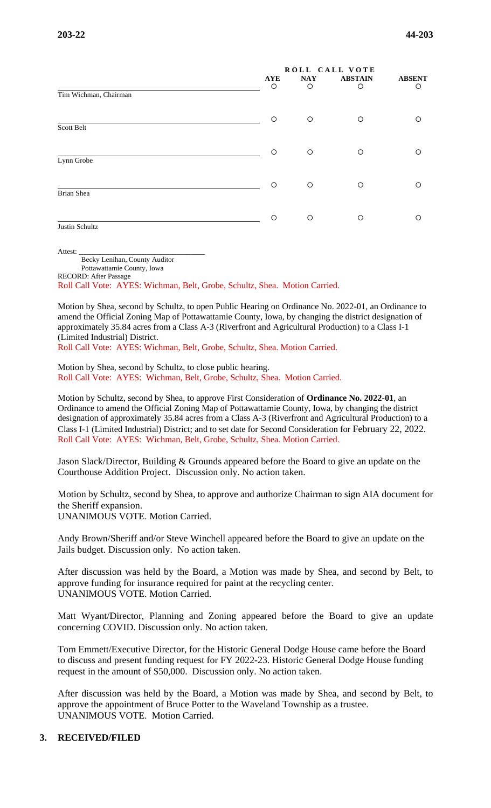|                       |                       | ROLL CALL VOTE  |                     |                    |
|-----------------------|-----------------------|-----------------|---------------------|--------------------|
|                       | <b>AYE</b><br>$\circ$ | <b>NAY</b><br>O | <b>ABSTAIN</b><br>O | <b>ABSENT</b><br>O |
| Tim Wichman, Chairman |                       |                 |                     |                    |
|                       | $\circ$               | $\circ$         | O                   | ∩                  |
| Scott Belt            |                       |                 |                     |                    |
|                       | O                     | O               | O                   | ∩                  |
| Lynn Grobe            |                       |                 |                     |                    |
|                       | $\Omega$              | $\circ$         | O                   | ∩                  |
| Brian Shea            |                       |                 |                     |                    |
|                       | O                     | O               | O                   | ∩                  |
| Justin Schultz        |                       |                 |                     |                    |

Attest:

Becky Lenihan, County Auditor Pottawattamie County, Iowa RECORD: After Passage

Roll Call Vote: AYES: Wichman, Belt, Grobe, Schultz, Shea. Motion Carried.

Motion by Shea, second by Schultz, to open Public Hearing on Ordinance No. 2022-01, an Ordinance to amend the Official Zoning Map of Pottawattamie County, Iowa, by changing the district designation of approximately 35.84 acres from a Class A-3 (Riverfront and Agricultural Production) to a Class I-1 (Limited Industrial) District.

Roll Call Vote: AYES: Wichman, Belt, Grobe, Schultz, Shea. Motion Carried.

Motion by Shea, second by Schultz, to close public hearing. Roll Call Vote: AYES: Wichman, Belt, Grobe, Schultz, Shea. Motion Carried.

Motion by Schultz, second by Shea, to approve First Consideration of **Ordinance No. 2022-01**, an Ordinance to amend the Official Zoning Map of Pottawattamie County, Iowa, by changing the district designation of approximately 35.84 acres from a Class A-3 (Riverfront and Agricultural Production) to a Class I-1 (Limited Industrial) District; and to set date for Second Consideration for February 22, 2022. Roll Call Vote: AYES: Wichman, Belt, Grobe, Schultz, Shea. Motion Carried.

Jason Slack/Director, Building & Grounds appeared before the Board to give an update on the Courthouse Addition Project. Discussion only. No action taken.

Motion by Schultz, second by Shea, to approve and authorize Chairman to sign AIA document for the Sheriff expansion. UNANIMOUS VOTE. Motion Carried.

Andy Brown/Sheriff and/or Steve Winchell appeared before the Board to give an update on the Jails budget. Discussion only. No action taken.

After discussion was held by the Board, a Motion was made by Shea, and second by Belt, to approve funding for insurance required for paint at the recycling center. UNANIMOUS VOTE. Motion Carried.

Matt Wyant/Director, Planning and Zoning appeared before the Board to give an update concerning COVID. Discussion only. No action taken.

Tom Emmett/Executive Director, for the Historic General Dodge House came before the Board to discuss and present funding request for FY 2022-23. Historic General Dodge House funding request in the amount of \$50,000. Discussion only. No action taken.

After discussion was held by the Board, a Motion was made by Shea, and second by Belt, to approve the appointment of Bruce Potter to the Waveland Township as a trustee. UNANIMOUS VOTE. Motion Carried.

#### **3. RECEIVED/FILED**